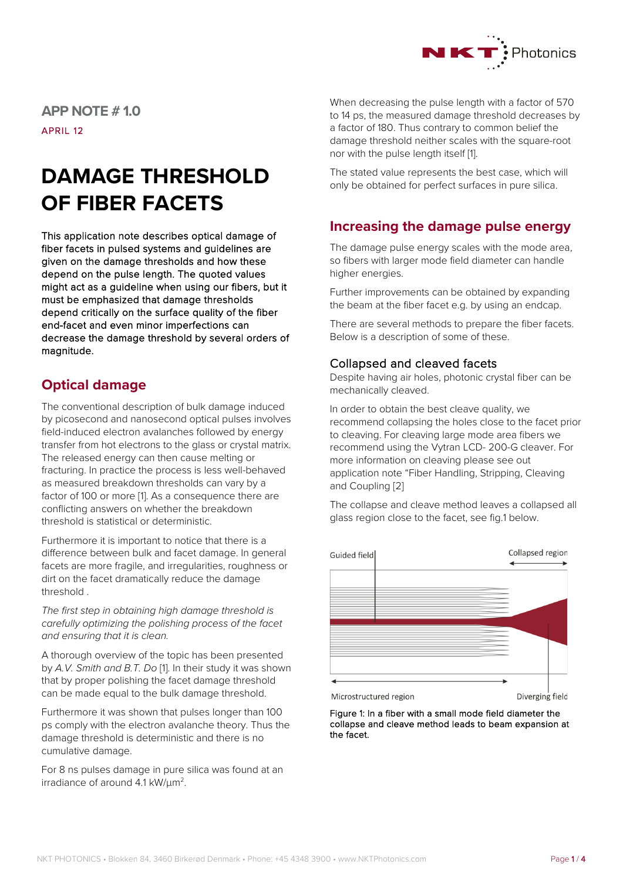

**APP NOTE # 1.0**

APRIL 12

# **DAMAGE THRESHOLD OF FIBER FACETS**

This application note describes optical damage of fiber facets in pulsed systems and guidelines are given on the damage thresholds and how these depend on the pulse length. The quoted values might act as a guideline when using our fibers, but it must be emphasized that damage thresholds depend critically on the surface quality of the fiber end-facet and even minor imperfections can decrease the damage threshold by several orders of magnitude.

# **Optical damage**

The conventional description of bulk damage induced by picosecond and nanosecond optical pulses involves field-induced electron avalanches followed by energy transfer from hot electrons to the glass or crystal matrix. The released energy can then cause melting or fracturing. In practice the process is less well-behaved as measured breakdown thresholds can vary by a factor of 100 or more [1]. As a consequence there are conflicting answers on whether the breakdown threshold is statistical or deterministic.

Furthermore it is important to notice that there is a difference between bulk and facet damage. In general facets are more fragile, and irregularities, roughness or dirt on the facet dramatically reduce the damage threshold .

*The first step in obtaining high damage threshold is carefully optimizing the polishing process of the facet and ensuring that it is clean.*

A thorough overview of the topic has been presented by *A.V. Smith and B.T. Do* [1]. In their study it was shown that by proper polishing the facet damage threshold can be made equal to the bulk damage threshold.

Furthermore it was shown that pulses longer than 100 ps comply with the electron avalanche theory. Thus the damage threshold is deterministic and there is no cumulative damage.

For 8 ns pulses damage in pure silica was found at an irradiance of around 4.1 kW/μm2.

When decreasing the pulse length with a factor of 570 to 14 ps, the measured damage threshold decreases by a factor of 180. Thus contrary to common belief the damage threshold neither scales with the square-root nor with the pulse length itself [1].

The stated value represents the best case, which will only be obtained for perfect surfaces in pure silica.

# **Increasing the damage pulse energy**

The damage pulse energy scales with the mode area, so fibers with larger mode field diameter can handle higher energies.

Further improvements can be obtained by expanding the beam at the fiber facet e.g. by using an endcap.

There are several methods to prepare the fiber facets. Below is a description of some of these.

## Collapsed and cleaved facets

Despite having air holes, photonic crystal fiber can be mechanically cleaved.

In order to obtain the best cleave quality, we recommend collapsing the holes close to the facet prior to cleaving. For cleaving large mode area fibers we recommend using the Vytran LCD- 200-G cleaver. For more information on cleaving please see out application note "Fiber Handling, Stripping, Cleaving and Coupling [2]

The collapse and cleave method leaves a collapsed all glass region close to the facet, see fig.1 below.



Figure 1: In a fiber with a small mode field diameter the collapse and cleave method leads to beam expansion at the facet.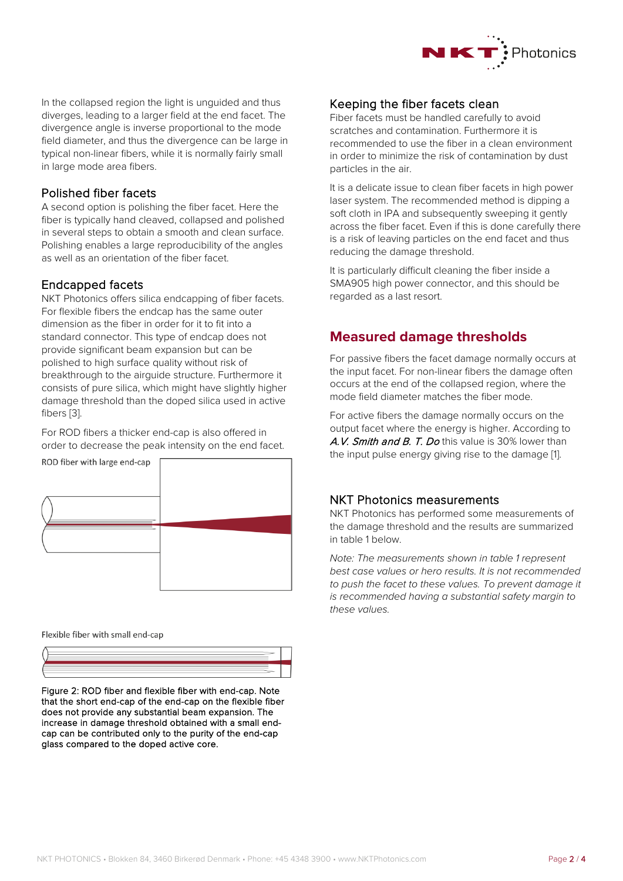

In the collapsed region the light is unguided and thus diverges, leading to a larger field at the end facet. The divergence angle is inverse proportional to the mode field diameter, and thus the divergence can be large in typical non-linear fibers, while it is normally fairly small in large mode area fibers.

#### Polished fiber facets

A second option is polishing the fiber facet. Here the fiber is typically hand cleaved, collapsed and polished in several steps to obtain a smooth and clean surface. Polishing enables a large reproducibility of the angles as well as an orientation of the fiber facet.

#### Endcapped facets

NKT Photonics offers silica endcapping of fiber facets. For flexible fibers the endcap has the same outer dimension as the fiber in order for it to fit into a standard connector. This type of endcap does not provide significant beam expansion but can be polished to high surface quality without risk of breakthrough to the airguide structure. Furthermore it consists of pure silica, which might have slightly higher damage threshold than the doped silica used in active fibers [3].

For ROD fibers a thicker end-cap is also offered in order to decrease the peak intensity on the end facet.



Flexible fiber with small end-cap



Figure 2: ROD fiber and flexible fiber with end-cap. Note that the short end-cap of the end-cap on the flexible fiber does not provide any substantial beam expansion. The increase in damage threshold obtained with a small endcap can be contributed only to the purity of the end-cap glass compared to the doped active core.

## Keeping the fiber facets clean

Fiber facets must be handled carefully to avoid scratches and contamination. Furthermore it is recommended to use the fiber in a clean environment in order to minimize the risk of contamination by dust particles in the air.

It is a delicate issue to clean fiber facets in high power laser system. The recommended method is dipping a soft cloth in IPA and subsequently sweeping it gently across the fiber facet. Even if this is done carefully there is a risk of leaving particles on the end facet and thus reducing the damage threshold.

It is particularly difficult cleaning the fiber inside a SMA905 high power connector, and this should be regarded as a last resort.

## **Measured damage thresholds**

For passive fibers the facet damage normally occurs at the input facet. For non-linear fibers the damage often occurs at the end of the collapsed region, where the mode field diameter matches the fiber mode.

For active fibers the damage normally occurs on the output facet where the energy is higher. According to A.V. Smith and B. T. Do this value is 30% lower than the input pulse energy giving rise to the damage [1].

#### NKT Photonics measurements

NKT Photonics has performed some measurements of the damage threshold and the results are summarized in table 1 below.

*Note: The measurements shown in table 1 represent best case values or hero results. It is not recommended to push the facet to these values. To prevent damage it is recommended having a substantial safety margin to these values.*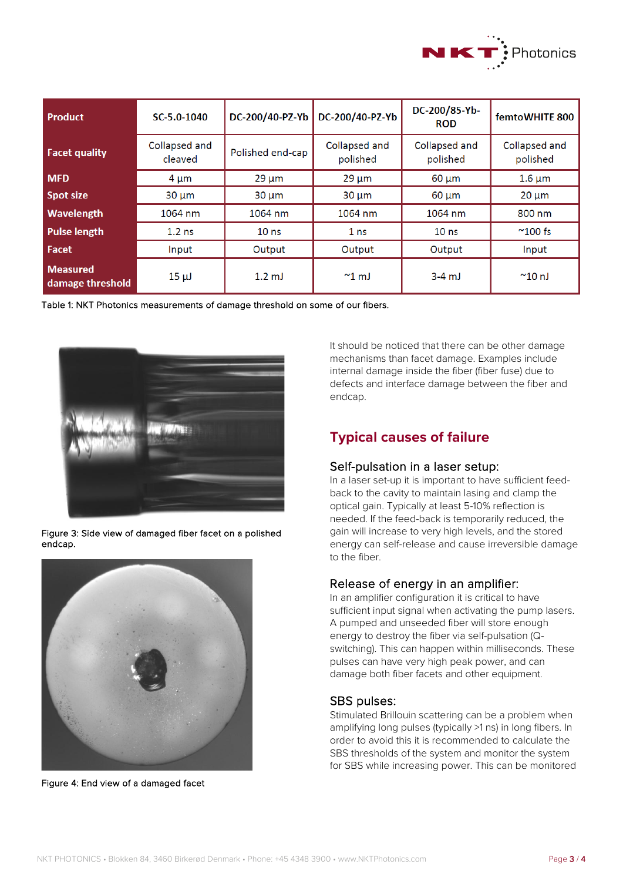

| <b>Product</b>                      | SC-5.0-1040              | DC-200/40-PZ-Yb  | DC-200/40-PZ-Yb           | DC-200/85-Yb-<br><b>ROD</b> | femtoWHITE 800            |
|-------------------------------------|--------------------------|------------------|---------------------------|-----------------------------|---------------------------|
| <b>Facet quality</b>                | Collapsed and<br>cleaved | Polished end-cap | Collapsed and<br>polished | Collapsed and<br>polished   | Collapsed and<br>polished |
| <b>MFD</b>                          | $4 \mu m$                | $29 \mu m$       | $29 \mu m$                | $60 \mu m$                  | $1.6 \mu m$               |
| <b>Spot size</b>                    | $30 \mu m$               | $30 \mu m$       | $30 \mu m$                | $60 \mu m$                  | $20 \mu m$                |
| <b>Wavelength</b>                   | 1064 nm                  | 1064 nm          | 1064 nm                   | 1064 nm                     | 800 nm                    |
| <b>Pulse length</b>                 | $1.2$ ns                 | 10 <sub>ns</sub> | 1 <sub>ns</sub>           | 10 <sub>ns</sub>            | $^{\sim}100$ fs           |
| Facet                               | Input                    | Output           | Output                    | Output                      | Input                     |
| <b>Measured</b><br>damage threshold | $15 \mu J$               | $1.2 \text{ mJ}$ | $^{\sim}$ 1 mJ            | $3-4$ mJ                    | $^{\sim}$ 10 nJ           |

Table 1: NKT Photonics measurements of damage threshold on some of our fibers.



Figure 3: Side view of damaged fiber facet on a polished endcap.



Figure 4: End view of a damaged facet

It should be noticed that there can be other damage mechanisms than facet damage. Examples include internal damage inside the fiber (fiber fuse) due to defects and interface damage between the fiber and endcap.

# **Typical causes of failure**

#### Self-pulsation in a laser setup:

In a laser set-up it is important to have sufficient feedback to the cavity to maintain lasing and clamp the optical gain. Typically at least 5-10% reflection is needed. If the feed-back is temporarily reduced, the gain will increase to very high levels, and the stored energy can self-release and cause irreversible damage to the fiber.

## Release of energy in an amplifier:

In an amplifier configuration it is critical to have sufficient input signal when activating the pump lasers. A pumped and unseeded fiber will store enough energy to destroy the fiber via self-pulsation (Qswitching). This can happen within milliseconds. These pulses can have very high peak power, and can damage both fiber facets and other equipment.

## SBS pulses:

Stimulated Brillouin scattering can be a problem when amplifying long pulses (typically >1 ns) in long fibers. In order to avoid this it is recommended to calculate the SBS thresholds of the system and monitor the system for SBS while increasing power. This can be monitored